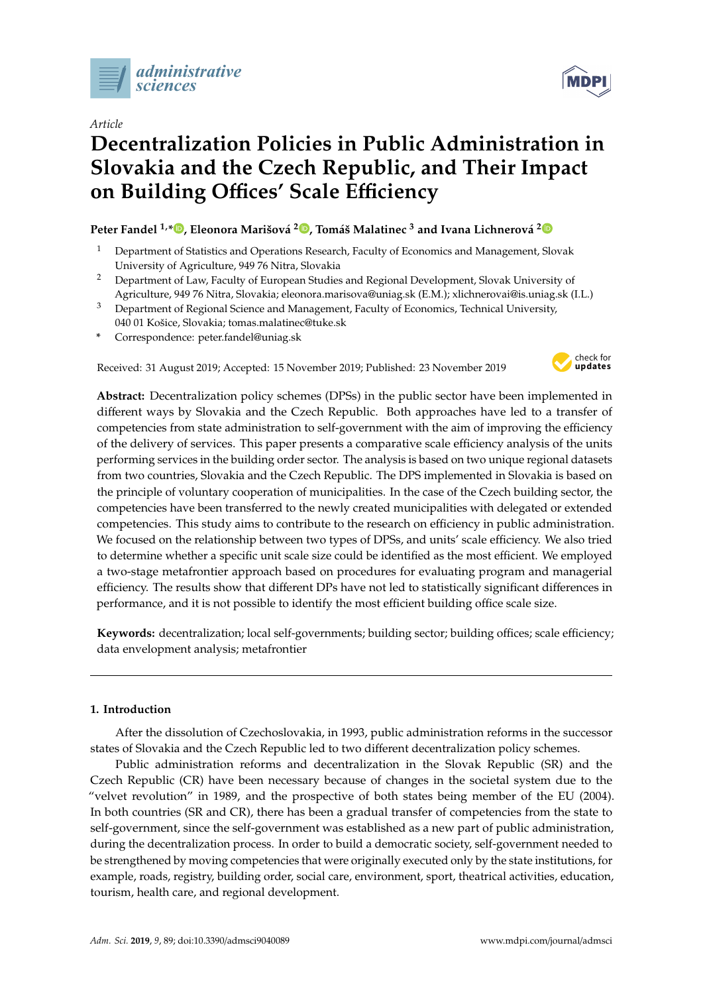

*Article*

# **Decentralization Policies in Public Administration in Slovakia and the Czech Republic, and Their Impact on Building O**ffi**ces' Scale E**ffi**ciency**

## **Peter Fandel 1,\* [,](https://orcid.org/0000-0003-4285-6811) Eleonora Marišová 2 [,](https://orcid.org/0000-0001-9057-6553) Tomáš Malatinec <sup>3</sup> and Ivana Lichnerová [2](https://orcid.org/0000-0001-7114-5547)**

- <sup>1</sup> Department of Statistics and Operations Research, Faculty of Economics and Management, Slovak University of Agriculture, 949 76 Nitra, Slovakia
- <sup>2</sup> Department of Law, Faculty of European Studies and Regional Development, Slovak University of Agriculture, 949 76 Nitra, Slovakia; eleonora.marisova@uniag.sk (E.M.); xlichnerovai@is.uniag.sk (I.L.)
- <sup>3</sup> Department of Regional Science and Management, Faculty of Economics, Technical University, 040 01 Košice, Slovakia; tomas.malatinec@tuke.sk
- **\*** Correspondence: peter.fandel@uniag.sk

Received: 31 August 2019; Accepted: 15 November 2019; Published: 23 November 2019



**Abstract:** Decentralization policy schemes (DPSs) in the public sector have been implemented in different ways by Slovakia and the Czech Republic. Both approaches have led to a transfer of competencies from state administration to self-government with the aim of improving the efficiency of the delivery of services. This paper presents a comparative scale efficiency analysis of the units performing services in the building order sector. The analysis is based on two unique regional datasets from two countries, Slovakia and the Czech Republic. The DPS implemented in Slovakia is based on the principle of voluntary cooperation of municipalities. In the case of the Czech building sector, the competencies have been transferred to the newly created municipalities with delegated or extended competencies. This study aims to contribute to the research on efficiency in public administration. We focused on the relationship between two types of DPSs, and units' scale efficiency. We also tried to determine whether a specific unit scale size could be identified as the most efficient. We employed a two-stage metafrontier approach based on procedures for evaluating program and managerial efficiency. The results show that different DPs have not led to statistically significant differences in performance, and it is not possible to identify the most efficient building office scale size.

**Keywords:** decentralization; local self-governments; building sector; building offices; scale efficiency; data envelopment analysis; metafrontier

### **1. Introduction**

After the dissolution of Czechoslovakia, in 1993, public administration reforms in the successor states of Slovakia and the Czech Republic led to two different decentralization policy schemes.

Public administration reforms and decentralization in the Slovak Republic (SR) and the Czech Republic (CR) have been necessary because of changes in the societal system due to the "velvet revolution" in 1989, and the prospective of both states being member of the EU (2004). In both countries (SR and CR), there has been a gradual transfer of competencies from the state to self-government, since the self-government was established as a new part of public administration, during the decentralization process. In order to build a democratic society, self-government needed to be strengthened by moving competencies that were originally executed only by the state institutions, for example, roads, registry, building order, social care, environment, sport, theatrical activities, education, tourism, health care, and regional development.

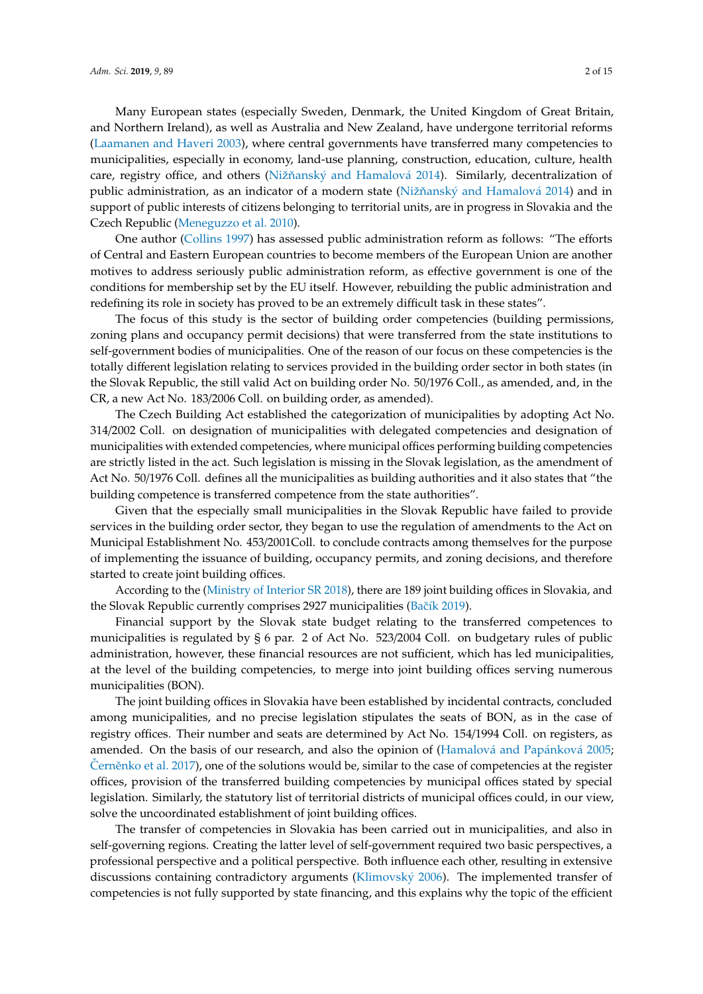Many European states (especially Sweden, Denmark, the United Kingdom of Great Britain, and Northern Ireland), as well as Australia and New Zealand, have undergone territorial reforms [\(Laamanen and Haveri](#page-13-0) [2003\)](#page-13-0), where central governments have transferred many competencies to municipalities, especially in economy, land-use planning, construction, education, culture, health care, registry office, and others (Nižňanský [and Hamalov](#page-13-1)á [2014\)](#page-13-1). Similarly, decentralization of public administration, as an indicator of a modern state (Nižňanský [and Hamalov](#page-13-1)á [2014\)](#page-13-1) and in support of public interests of citizens belonging to territorial units, are in progress in Slovakia and the Czech Republic [\(Meneguzzo et al.](#page-13-2) [2010\)](#page-13-2).

One author [\(Collins](#page-12-0) [1997\)](#page-12-0) has assessed public administration reform as follows: "The efforts of Central and Eastern European countries to become members of the European Union are another motives to address seriously public administration reform, as effective government is one of the conditions for membership set by the EU itself. However, rebuilding the public administration and redefining its role in society has proved to be an extremely difficult task in these states".

The focus of this study is the sector of building order competencies (building permissions, zoning plans and occupancy permit decisions) that were transferred from the state institutions to self-government bodies of municipalities. One of the reason of our focus on these competencies is the totally different legislation relating to services provided in the building order sector in both states (in the Slovak Republic, the still valid Act on building order No. 50/1976 Coll., as amended, and, in the CR, a new Act No. 183/2006 Coll. on building order, as amended).

The Czech Building Act established the categorization of municipalities by adopting Act No. 314/2002 Coll. on designation of municipalities with delegated competencies and designation of municipalities with extended competencies, where municipal offices performing building competencies are strictly listed in the act. Such legislation is missing in the Slovak legislation, as the amendment of Act No. 50/1976 Coll. defines all the municipalities as building authorities and it also states that "the building competence is transferred competence from the state authorities".

Given that the especially small municipalities in the Slovak Republic have failed to provide services in the building order sector, they began to use the regulation of amendments to the Act on Municipal Establishment No. 453/2001Coll. to conclude contracts among themselves for the purpose of implementing the issuance of building, occupancy permits, and zoning decisions, and therefore started to create joint building offices.

According to the [\(Ministry of Interior SR](#page-13-3) [2018\)](#page-13-3), there are 189 joint building offices in Slovakia, and the Slovak Republic currently comprises 2927 municipalities (Bačík [2019\)](#page-12-1).

Financial support by the Slovak state budget relating to the transferred competences to municipalities is regulated by § 6 par. 2 of Act No. 523/2004 Coll. on budgetary rules of public administration, however, these financial resources are not sufficient, which has led municipalities, at the level of the building competencies, to merge into joint building offices serving numerous municipalities (BON).

The joint building offices in Slovakia have been established by incidental contracts, concluded among municipalities, and no precise legislation stipulates the seats of BON, as in the case of registry offices. Their number and seats are determined by Act No. 154/1994 Coll. on registers, as amended. On the basis of our research, and also the opinion of [\(Hamalov](#page-12-2)á and Papánková [2005;](#page-12-2) Cerněnko et al. [2017\)](#page-12-3), one of the solutions would be, similar to the case of competencies at the register offices, provision of the transferred building competencies by municipal offices stated by special legislation. Similarly, the statutory list of territorial districts of municipal offices could, in our view, solve the uncoordinated establishment of joint building offices.

The transfer of competencies in Slovakia has been carried out in municipalities, and also in self-governing regions. Creating the latter level of self-government required two basic perspectives, a professional perspective and a political perspective. Both influence each other, resulting in extensive discussions containing contradictory arguments [\(Klimovsk](#page-13-4)ý [2006\)](#page-13-4). The implemented transfer of competencies is not fully supported by state financing, and this explains why the topic of the efficient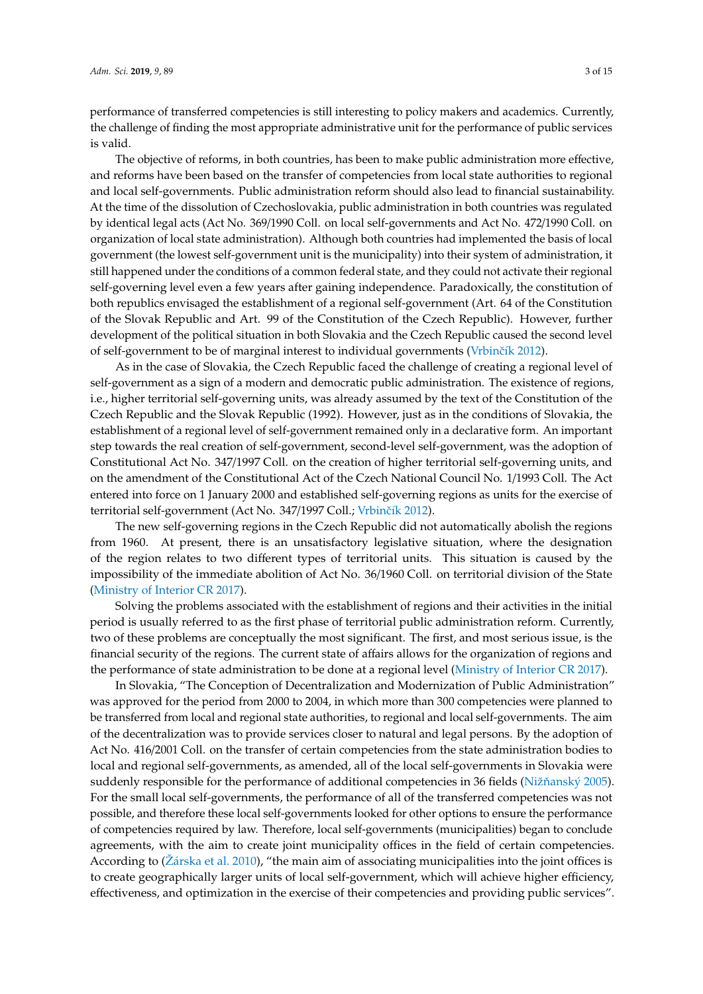performance of transferred competencies is still interesting to policy makers and academics. Currently, the challenge of finding the most appropriate administrative unit for the performance of public services is valid.

The objective of reforms, in both countries, has been to make public administration more effective, and reforms have been based on the transfer of competencies from local state authorities to regional and local self-governments. Public administration reform should also lead to financial sustainability. At the time of the dissolution of Czechoslovakia, public administration in both countries was regulated by identical legal acts (Act No. 369/1990 Coll. on local self-governments and Act No. 472/1990 Coll. on organization of local state administration). Although both countries had implemented the basis of local government (the lowest self-government unit is the municipality) into their system of administration, it still happened under the conditions of a common federal state, and they could not activate their regional self-governing level even a few years after gaining independence. Paradoxically, the constitution of both republics envisaged the establishment of a regional self-government (Art. 64 of the Constitution of the Slovak Republic and Art. 99 of the Constitution of the Czech Republic). However, further development of the political situation in both Slovakia and the Czech Republic caused the second level of self-government to be of marginal interest to individual governments (Vrbinčík [2012\)](#page-14-0).

As in the case of Slovakia, the Czech Republic faced the challenge of creating a regional level of self-government as a sign of a modern and democratic public administration. The existence of regions, i.e., higher territorial self-governing units, was already assumed by the text of the Constitution of the Czech Republic and the Slovak Republic (1992). However, just as in the conditions of Slovakia, the establishment of a regional level of self-government remained only in a declarative form. An important step towards the real creation of self-government, second-level self-government, was the adoption of Constitutional Act No. 347/1997 Coll. on the creation of higher territorial self-governing units, and on the amendment of the Constitutional Act of the Czech National Council No. 1/1993 Coll. The Act entered into force on 1 January 2000 and established self-governing regions as units for the exercise of territorial self-government (Act No. 347/1997 Coll.; Vrbinčík [2012\)](#page-14-0).

The new self-governing regions in the Czech Republic did not automatically abolish the regions from 1960. At present, there is an unsatisfactory legislative situation, where the designation of the region relates to two different types of territorial units. This situation is caused by the impossibility of the immediate abolition of Act No. 36/1960 Coll. on territorial division of the State [\(Ministry of Interior CR](#page-13-5) [2017\)](#page-13-5).

Solving the problems associated with the establishment of regions and their activities in the initial period is usually referred to as the first phase of territorial public administration reform. Currently, two of these problems are conceptually the most significant. The first, and most serious issue, is the financial security of the regions. The current state of affairs allows for the organization of regions and the performance of state administration to be done at a regional level [\(Ministry of Interior CR](#page-13-5) [2017\)](#page-13-5).

In Slovakia, "The Conception of Decentralization and Modernization of Public Administration" was approved for the period from 2000 to 2004, in which more than 300 competencies were planned to be transferred from local and regional state authorities, to regional and local self-governments. The aim of the decentralization was to provide services closer to natural and legal persons. By the adoption of Act No. 416/2001 Coll. on the transfer of certain competencies from the state administration bodies to local and regional self-governments, as amended, all of the local self-governments in Slovakia were suddenly responsible for the performance of additional competencies in 36 fields (Nižňanský [2005\)](#page-13-6). For the small local self-governments, the performance of all of the transferred competencies was not possible, and therefore these local self-governments looked for other options to ensure the performance of competencies required by law. Therefore, local self-governments (municipalities) began to conclude agreements, with the aim to create joint municipality offices in the field of certain competencies. According to ( $\check{Z}$ á[rska et al.](#page-14-1) [2010\)](#page-14-1), "the main aim of associating municipalities into the joint offices is to create geographically larger units of local self-government, which will achieve higher efficiency, effectiveness, and optimization in the exercise of their competencies and providing public services".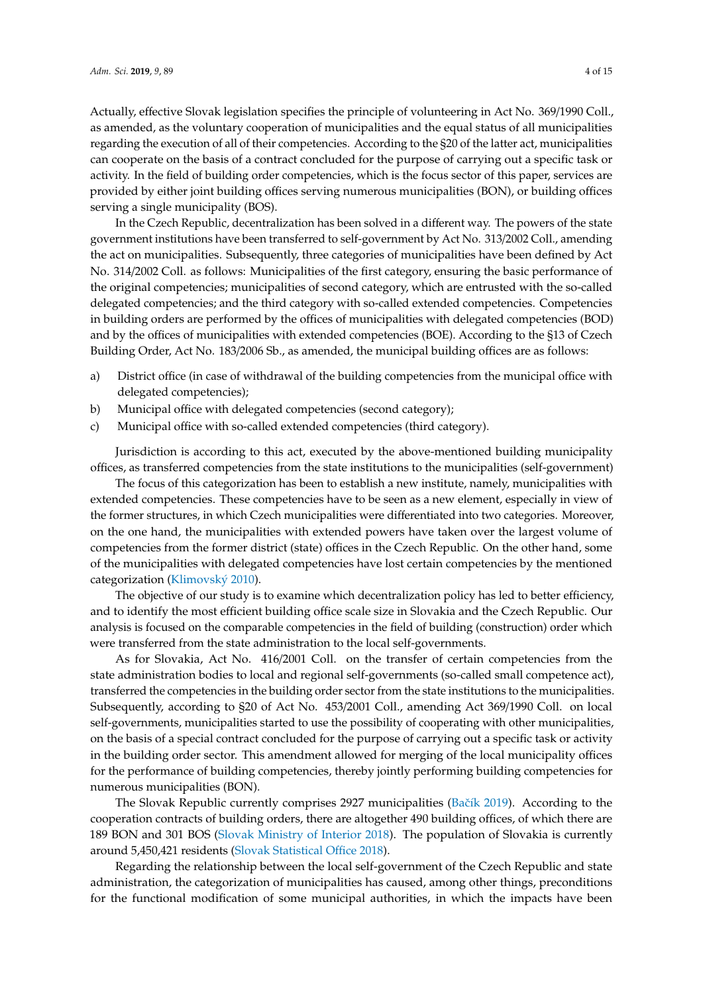Actually, effective Slovak legislation specifies the principle of volunteering in Act No. 369/1990 Coll., as amended, as the voluntary cooperation of municipalities and the equal status of all municipalities regarding the execution of all of their competencies. According to the §20 of the latter act, municipalities can cooperate on the basis of a contract concluded for the purpose of carrying out a specific task or activity. In the field of building order competencies, which is the focus sector of this paper, services are provided by either joint building offices serving numerous municipalities (BON), or building offices serving a single municipality (BOS).

In the Czech Republic, decentralization has been solved in a different way. The powers of the state government institutions have been transferred to self-government by Act No. 313/2002 Coll., amending the act on municipalities. Subsequently, three categories of municipalities have been defined by Act No. 314/2002 Coll. as follows: Municipalities of the first category, ensuring the basic performance of the original competencies; municipalities of second category, which are entrusted with the so-called delegated competencies; and the third category with so-called extended competencies. Competencies in building orders are performed by the offices of municipalities with delegated competencies (BOD) and by the offices of municipalities with extended competencies (BOE). According to the §13 of Czech Building Order, Act No. 183/2006 Sb., as amended, the municipal building offices are as follows:

- a) District office (in case of withdrawal of the building competencies from the municipal office with delegated competencies);
- b) Municipal office with delegated competencies (second category);
- c) Municipal office with so-called extended competencies (third category).

Jurisdiction is according to this act, executed by the above-mentioned building municipality offices, as transferred competencies from the state institutions to the municipalities (self-government)

The focus of this categorization has been to establish a new institute, namely, municipalities with extended competencies. These competencies have to be seen as a new element, especially in view of the former structures, in which Czech municipalities were differentiated into two categories. Moreover, on the one hand, the municipalities with extended powers have taken over the largest volume of competencies from the former district (state) offices in the Czech Republic. On the other hand, some of the municipalities with delegated competencies have lost certain competencies by the mentioned categorization [\(Klimovsk](#page-13-7)ý [2010\)](#page-13-7).

The objective of our study is to examine which decentralization policy has led to better efficiency, and to identify the most efficient building office scale size in Slovakia and the Czech Republic. Our analysis is focused on the comparable competencies in the field of building (construction) order which were transferred from the state administration to the local self-governments.

As for Slovakia, Act No. 416/2001 Coll. on the transfer of certain competencies from the state administration bodies to local and regional self-governments (so-called small competence act), transferred the competencies in the building order sector from the state institutions to the municipalities. Subsequently, according to §20 of Act No. 453/2001 Coll., amending Act 369/1990 Coll. on local self-governments, municipalities started to use the possibility of cooperating with other municipalities, on the basis of a special contract concluded for the purpose of carrying out a specific task or activity in the building order sector. This amendment allowed for merging of the local municipality offices for the performance of building competencies, thereby jointly performing building competencies for numerous municipalities (BON).

The Slovak Republic currently comprises 2927 municipalities (Bačík [2019\)](#page-12-1). According to the cooperation contracts of building orders, there are altogether 490 building offices, of which there are 189 BON and 301 BOS [\(Slovak Ministry of Interior](#page-13-8) [2018\)](#page-13-8). The population of Slovakia is currently around 5,450,421 residents [\(Slovak Statistical O](#page-13-9)ffice [2018\)](#page-13-9).

Regarding the relationship between the local self-government of the Czech Republic and state administration, the categorization of municipalities has caused, among other things, preconditions for the functional modification of some municipal authorities, in which the impacts have been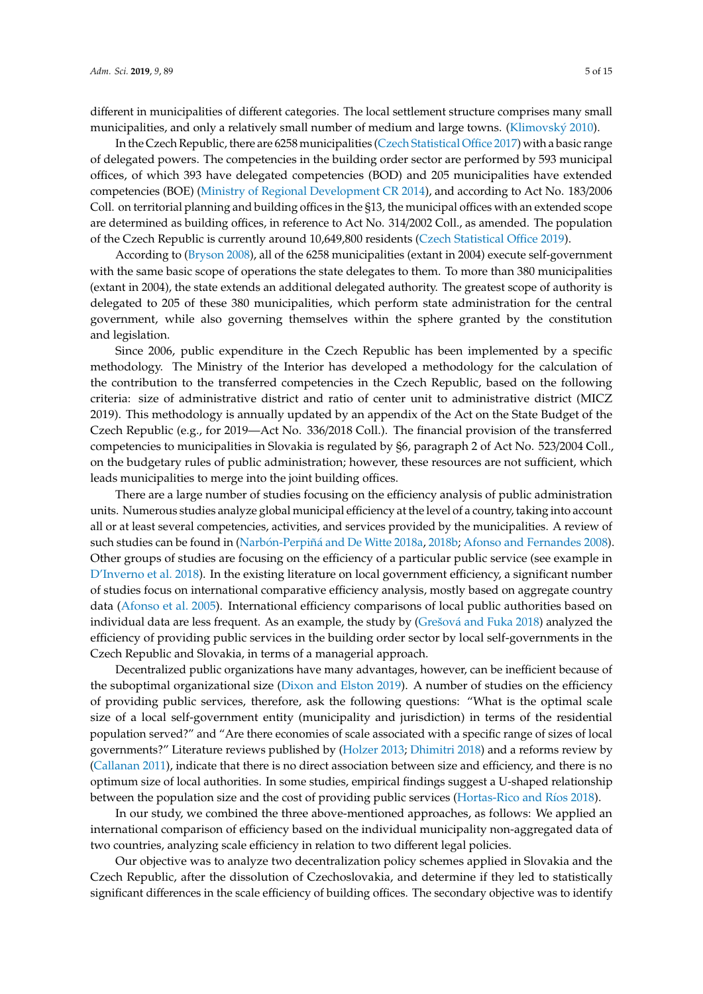different in municipalities of different categories. The local settlement structure comprises many small municipalities, and only a relatively small number of medium and large towns. [\(Klimovsk](#page-13-7)ý [2010\)](#page-13-7).

In the Czech Republic, there are 6258 municipalities [\(Czech Statistical O](#page-12-4)ffice [2017\)](#page-12-4) with a basic range of delegated powers. The competencies in the building order sector are performed by 593 municipal offices, of which 393 have delegated competencies (BOD) and 205 municipalities have extended competencies (BOE) [\(Ministry of Regional Development CR](#page-13-10) [2014\)](#page-13-10), and according to Act No. 183/2006 Coll. on territorial planning and building offices in the §13, the municipal offices with an extended scope are determined as building offices, in reference to Act No. 314/2002 Coll., as amended. The population of the Czech Republic is currently around 10,649,800 residents [\(Czech Statistical O](#page-12-5)ffice [2019\)](#page-12-5).

According to [\(Bryson](#page-12-6) [2008\)](#page-12-6), all of the 6258 municipalities (extant in 2004) execute self-government with the same basic scope of operations the state delegates to them. To more than 380 municipalities (extant in 2004), the state extends an additional delegated authority. The greatest scope of authority is delegated to 205 of these 380 municipalities, which perform state administration for the central government, while also governing themselves within the sphere granted by the constitution and legislation.

Since 2006, public expenditure in the Czech Republic has been implemented by a specific methodology. The Ministry of the Interior has developed a methodology for the calculation of the contribution to the transferred competencies in the Czech Republic, based on the following criteria: size of administrative district and ratio of center unit to administrative district (MICZ 2019). This methodology is annually updated by an appendix of the Act on the State Budget of the Czech Republic (e.g., for 2019—Act No. 336/2018 Coll.). The financial provision of the transferred competencies to municipalities in Slovakia is regulated by §6, paragraph 2 of Act No. 523/2004 Coll., on the budgetary rules of public administration; however, these resources are not sufficient, which leads municipalities to merge into the joint building offices.

There are a large number of studies focusing on the efficiency analysis of public administration units. Numerous studies analyze global municipal efficiency at the level of a country, taking into account all or at least several competencies, activities, and services provided by the municipalities. A review of such studies can be found in (Narbón-Perpiñá [and De Witte](#page-13-11) [2018a,](#page-13-11) [2018b;](#page-13-12) [Afonso and Fernandes](#page-12-7) [2008\)](#page-12-7). Other groups of studies are focusing on the efficiency of a particular public service (see example in [D'Inverno et al.](#page-12-8) [2018\)](#page-12-8). In the existing literature on local government efficiency, a significant number of studies focus on international comparative efficiency analysis, mostly based on aggregate country data [\(Afonso et al.](#page-12-9) [2005\)](#page-12-9). International efficiency comparisons of local public authorities based on individual data are less frequent. As an example, the study by (Grešová [and Fuka](#page-12-10) [2018\)](#page-12-10) analyzed the efficiency of providing public services in the building order sector by local self-governments in the Czech Republic and Slovakia, in terms of a managerial approach.

Decentralized public organizations have many advantages, however, can be inefficient because of the suboptimal organizational size [\(Dixon and Elston](#page-12-11) [2019\)](#page-12-11). A number of studies on the efficiency of providing public services, therefore, ask the following questions: "What is the optimal scale size of a local self-government entity (municipality and jurisdiction) in terms of the residential population served?" and "Are there economies of scale associated with a specific range of sizes of local governments?" Literature reviews published by [\(Holzer](#page-13-13) [2013;](#page-13-13) [Dhimitri](#page-12-12) [2018\)](#page-12-12) and a reforms review by [\(Callanan](#page-12-13) [2011\)](#page-12-13), indicate that there is no direct association between size and efficiency, and there is no optimum size of local authorities. In some studies, empirical findings suggest a U-shaped relationship between the population size and the cost of providing public services [\(Hortas-Rico and R](#page-13-14)íos [2018\)](#page-13-14).

In our study, we combined the three above-mentioned approaches, as follows: We applied an international comparison of efficiency based on the individual municipality non-aggregated data of two countries, analyzing scale efficiency in relation to two different legal policies.

Our objective was to analyze two decentralization policy schemes applied in Slovakia and the Czech Republic, after the dissolution of Czechoslovakia, and determine if they led to statistically significant differences in the scale efficiency of building offices. The secondary objective was to identify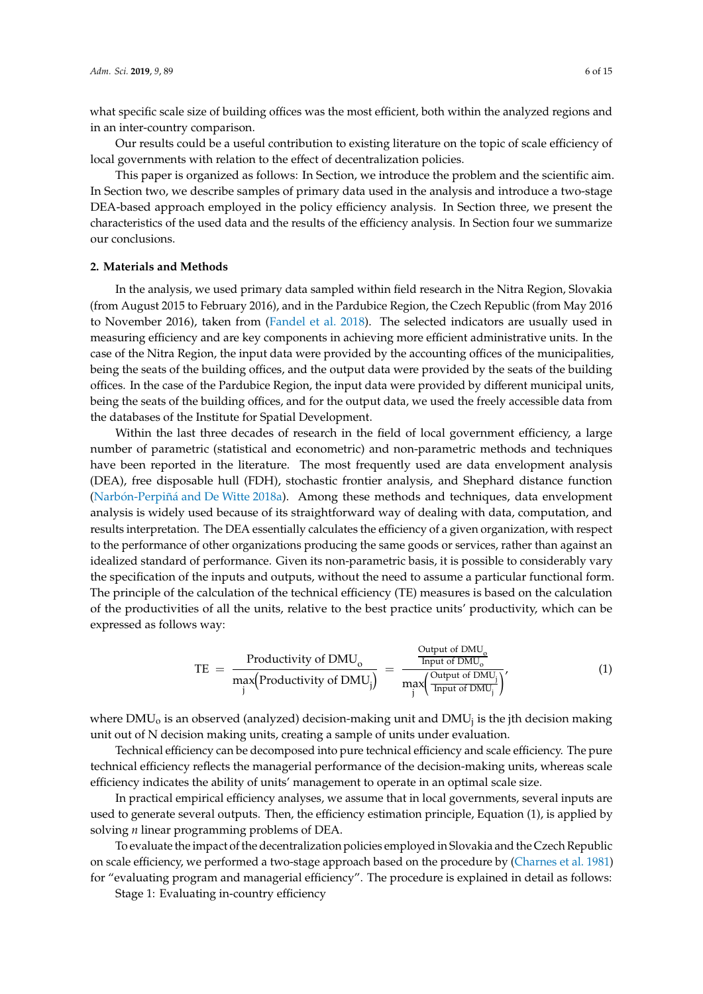what specific scale size of building offices was the most efficient, both within the analyzed regions and in an inter-country comparison.

Our results could be a useful contribution to existing literature on the topic of scale efficiency of local governments with relation to the effect of decentralization policies.

This paper is organized as follows: In Section, we introduce the problem and the scientific aim. In Section two, we describe samples of primary data used in the analysis and introduce a two-stage DEA-based approach employed in the policy efficiency analysis. In Section three, we present the characteristics of the used data and the results of the efficiency analysis. In Section four we summarize our conclusions.

#### **2. Materials and Methods**

In the analysis, we used primary data sampled within field research in the Nitra Region, Slovakia (from August 2015 to February 2016), and in the Pardubice Region, the Czech Republic (from May 2016 to November 2016), taken from [\(Fandel et al.](#page-12-14) [2018\)](#page-12-14). The selected indicators are usually used in measuring efficiency and are key components in achieving more efficient administrative units. In the case of the Nitra Region, the input data were provided by the accounting offices of the municipalities, being the seats of the building offices, and the output data were provided by the seats of the building offices. In the case of the Pardubice Region, the input data were provided by different municipal units, being the seats of the building offices, and for the output data, we used the freely accessible data from the databases of the Institute for Spatial Development.

Within the last three decades of research in the field of local government efficiency, a large number of parametric (statistical and econometric) and non-parametric methods and techniques have been reported in the literature. The most frequently used are data envelopment analysis (DEA), free disposable hull (FDH), stochastic frontier analysis, and Shephard distance function (Narbón-Perpiñá [and De Witte](#page-13-11) [2018a\)](#page-13-11). Among these methods and techniques, data envelopment analysis is widely used because of its straightforward way of dealing with data, computation, and results interpretation. The DEA essentially calculates the efficiency of a given organization, with respect to the performance of other organizations producing the same goods or services, rather than against an idealized standard of performance. Given its non-parametric basis, it is possible to considerably vary the specification of the inputs and outputs, without the need to assume a particular functional form. The principle of the calculation of the technical efficiency (TE) measures is based on the calculation of the productivities of all the units, relative to the best practice units' productivity, which can be expressed as follows way:

$$
TE = \frac{\text{Productivity of DMU}_o}{\max_{j}(\text{Productivity of DMU}_j)} = \frac{\frac{\text{Output of DMU}_o}{\text{Input of DMU}_o}}{\max_{j}(\frac{\text{Output of DMU}_j}{\text{Input of DMU}_j})'},
$$
(1)

where  $\rm{DMU_{o}}$  is an observed (analyzed) decision-making unit and  $\rm{DMU_{j}}$  is the jth decision making unit out of N decision making units, creating a sample of units under evaluation.

Technical efficiency can be decomposed into pure technical efficiency and scale efficiency. The pure technical efficiency reflects the managerial performance of the decision-making units, whereas scale efficiency indicates the ability of units' management to operate in an optimal scale size.

In practical empirical efficiency analyses, we assume that in local governments, several inputs are used to generate several outputs. Then, the efficiency estimation principle, Equation (1), is applied by solving *n* linear programming problems of DEA.

To evaluate the impact of the decentralization policies employed in Slovakia and the Czech Republic on scale efficiency, we performed a two-stage approach based on the procedure by [\(Charnes et al.](#page-12-15) [1981\)](#page-12-15) for "evaluating program and managerial efficiency". The procedure is explained in detail as follows:

Stage 1: Evaluating in-country efficiency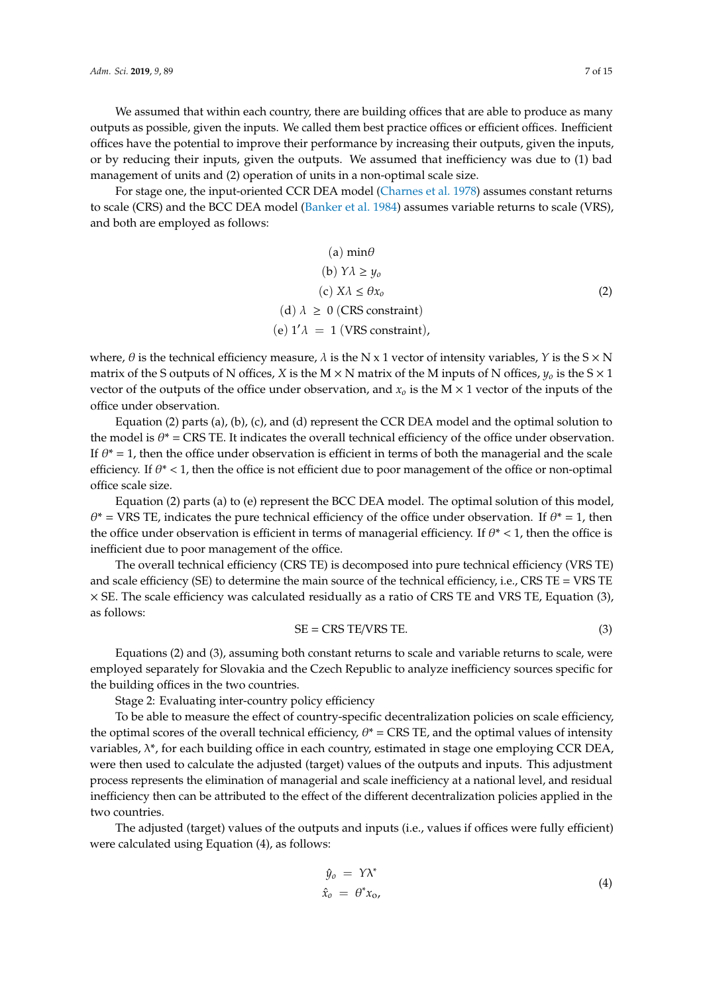We assumed that within each country, there are building offices that are able to produce as many outputs as possible, given the inputs. We called them best practice offices or efficient offices. Inefficient offices have the potential to improve their performance by increasing their outputs, given the inputs, or by reducing their inputs, given the outputs. We assumed that inefficiency was due to (1) bad management of units and (2) operation of units in a non-optimal scale size.

For stage one, the input-oriented CCR DEA model [\(Charnes et al.](#page-12-16) [1978\)](#page-12-16) assumes constant returns to scale (CRS) and the BCC DEA model [\(Banker et al.](#page-12-17) [1984\)](#page-12-17) assumes variable returns to scale (VRS), and both are employed as follows:

(a) min
$$
\theta
$$
  
\n(b)  $Y\lambda \ge y_o$   
\n(c)  $X\lambda \le \theta x_o$   
\n(d)  $\lambda \ge 0$  (CRS constraint)  
\n(e)  $1'\lambda = 1$  (VRS constraint),

where,  $\theta$  is the technical efficiency measure,  $\lambda$  is the N x 1 vector of intensity variables, *Y* is the S  $\times$  N matrix of the S outputs of N offices, *X* is the M  $\times$  N matrix of the M inputs of N offices, *y*<sub>*o*</sub> is the S  $\times$  1 vector of the outputs of the office under observation, and  $x<sub>o</sub>$  is the M  $\times$  1 vector of the inputs of the office under observation.

Equation (2) parts (a), (b), (c), and (d) represent the CCR DEA model and the optimal solution to the model is  $\theta^* = \text{CRS}$  TE. It indicates the overall technical efficiency of the office under observation. If  $\theta^* = 1$ , then the office under observation is efficient in terms of both the managerial and the scale efficiency. If  $\theta^*$  < 1, then the office is not efficient due to poor management of the office or non-optimal office scale size.

Equation (2) parts (a) to (e) represent the BCC DEA model. The optimal solution of this model,  $\theta^*$  = VRS TE, indicates the pure technical efficiency of the office under observation. If  $\theta^*$  = 1, then the office under observation is efficient in terms of managerial efficiency. If  $\theta^*$  < 1, then the office is inefficient due to poor management of the office.

The overall technical efficiency (CRS TE) is decomposed into pure technical efficiency (VRS TE) and scale efficiency (SE) to determine the main source of the technical efficiency, i.e., CRS TE = VRS TE  $\times$  SE. The scale efficiency was calculated residually as a ratio of CRS TE and VRS TE, Equation (3), as follows:

$$
SE = CRS TE/VRS TE.
$$
 (3)

Equations (2) and (3), assuming both constant returns to scale and variable returns to scale, were employed separately for Slovakia and the Czech Republic to analyze inefficiency sources specific for the building offices in the two countries.

Stage 2: Evaluating inter-country policy efficiency

To be able to measure the effect of country-specific decentralization policies on scale efficiency, the optimal scores of the overall technical efficiency,  $\theta^* = \text{CRS} \text{ TE}$ , and the optimal values of intensity variables,  $\lambda^*$ , for each building office in each country, estimated in stage one employing CCR DEA, were then used to calculate the adjusted (target) values of the outputs and inputs. This adjustment process represents the elimination of managerial and scale inefficiency at a national level, and residual inefficiency then can be attributed to the effect of the different decentralization policies applied in the two countries.

The adjusted (target) values of the outputs and inputs (i.e., values if offices were fully efficient) were calculated using Equation (4), as follows:

$$
\hat{y}_o = Y\lambda^* \n\hat{x}_o = \theta^* x_o,
$$
\n(4)

(2)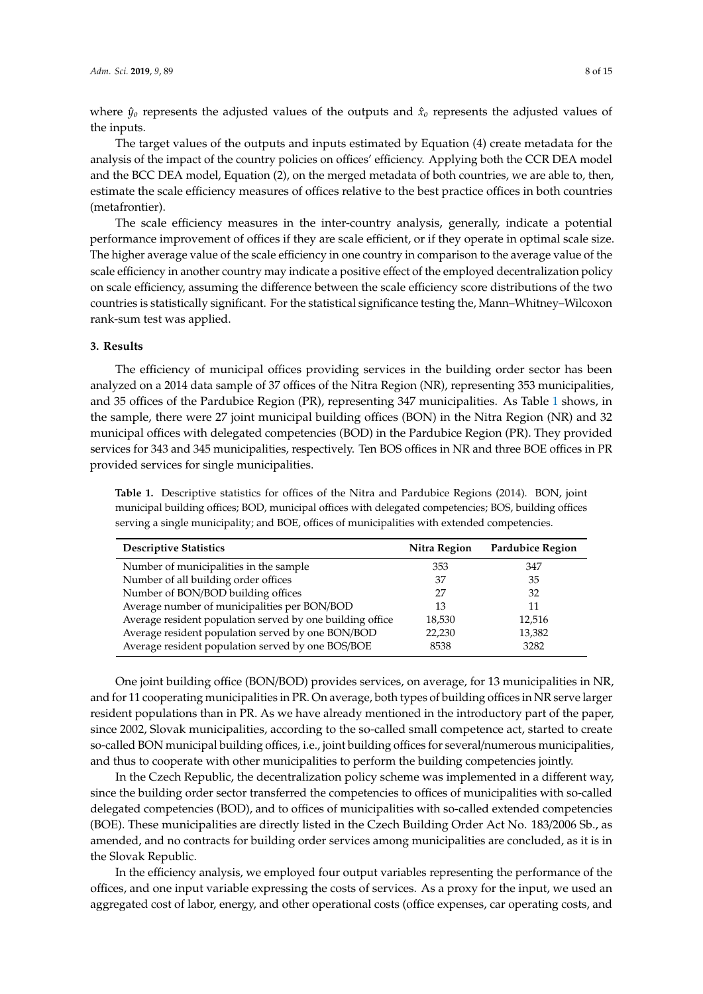where  $\hat{y}_o$  represents the adjusted values of the outputs and  $\hat{x}_o$  represents the adjusted values of the inputs.

The target values of the outputs and inputs estimated by Equation (4) create metadata for the analysis of the impact of the country policies on offices' efficiency. Applying both the CCR DEA model and the BCC DEA model, Equation (2), on the merged metadata of both countries, we are able to, then, estimate the scale efficiency measures of offices relative to the best practice offices in both countries (metafrontier).

The scale efficiency measures in the inter-country analysis, generally, indicate a potential performance improvement of offices if they are scale efficient, or if they operate in optimal scale size. The higher average value of the scale efficiency in one country in comparison to the average value of the scale efficiency in another country may indicate a positive effect of the employed decentralization policy on scale efficiency, assuming the difference between the scale efficiency score distributions of the two countries is statistically significant. For the statistical significance testing the, Mann–Whitney–Wilcoxon rank-sum test was applied.

#### **3. Results**

The efficiency of municipal offices providing services in the building order sector has been analyzed on a 2014 data sample of 37 offices of the Nitra Region (NR), representing 353 municipalities, and 35 offices of the Pardubice Region (PR), representing 347 municipalities. As Table [1](#page-7-0) shows, in the sample, there were 27 joint municipal building offices (BON) in the Nitra Region (NR) and 32 municipal offices with delegated competencies (BOD) in the Pardubice Region (PR). They provided services for 343 and 345 municipalities, respectively. Ten BOS offices in NR and three BOE offices in PR provided services for single municipalities.

<span id="page-7-0"></span>**Table 1.** Descriptive statistics for offices of the Nitra and Pardubice Regions (2014). BON, joint municipal building offices; BOD, municipal offices with delegated competencies; BOS, building offices serving a single municipality; and BOE, offices of municipalities with extended competencies.

| <b>Descriptive Statistics</b>                             | <b>Nitra Region</b> | <b>Pardubice Region</b> |
|-----------------------------------------------------------|---------------------|-------------------------|
| Number of municipalities in the sample                    | 353                 | 347                     |
| Number of all building order offices                      | 37                  | 35                      |
| Number of BON/BOD building offices                        | 27                  | 32                      |
| Average number of municipalities per BON/BOD              | 13                  | 11                      |
| Average resident population served by one building office | 18,530              | 12,516                  |
| Average resident population served by one BON/BOD         | 22,230              | 13,382                  |
| Average resident population served by one BOS/BOE         | 8538                | 3282                    |

One joint building office (BON/BOD) provides services, on average, for 13 municipalities in NR, and for 11 cooperating municipalities in PR. On average, both types of building offices in NR serve larger resident populations than in PR. As we have already mentioned in the introductory part of the paper, since 2002, Slovak municipalities, according to the so-called small competence act, started to create so-called BON municipal building offices, i.e., joint building offices for several/numerous municipalities, and thus to cooperate with other municipalities to perform the building competencies jointly.

In the Czech Republic, the decentralization policy scheme was implemented in a different way, since the building order sector transferred the competencies to offices of municipalities with so-called delegated competencies (BOD), and to offices of municipalities with so-called extended competencies (BOE). These municipalities are directly listed in the Czech Building Order Act No. 183/2006 Sb., as amended, and no contracts for building order services among municipalities are concluded, as it is in the Slovak Republic.

In the efficiency analysis, we employed four output variables representing the performance of the offices, and one input variable expressing the costs of services. As a proxy for the input, we used an aggregated cost of labor, energy, and other operational costs (office expenses, car operating costs, and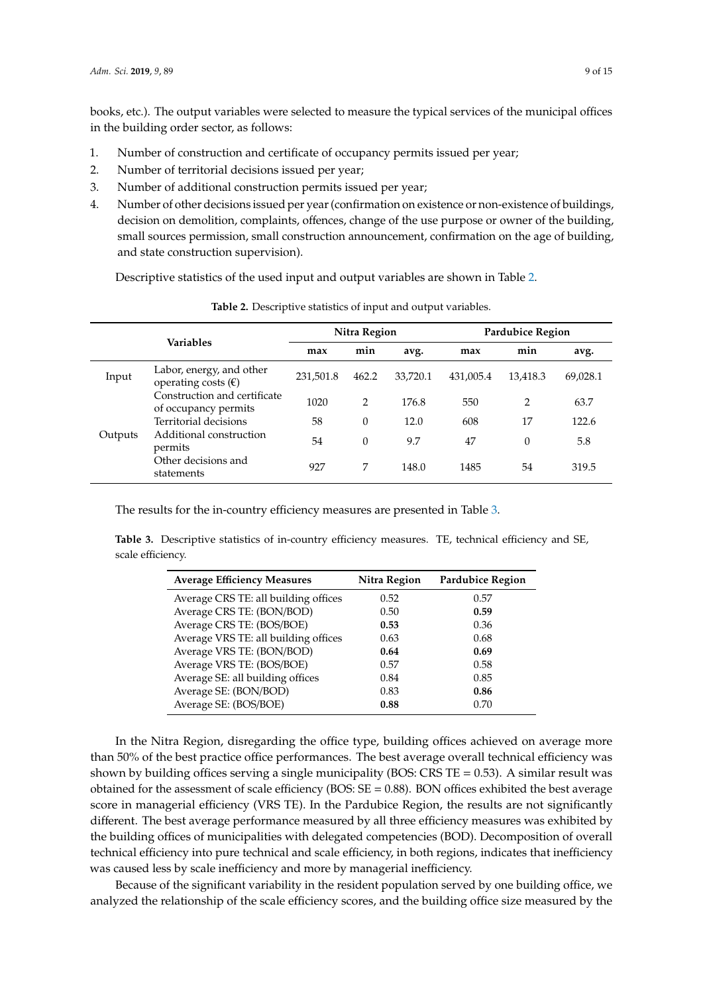books, etc.). The output variables were selected to measure the typical services of the municipal offices in the building order sector, as follows:

- 1. Number of construction and certificate of occupancy permits issued per year;
- 2. Number of territorial decisions issued per year;
- 3. Number of additional construction permits issued per year;
- 4. Number of other decisions issued per year (confirmation on existence or non-existence of buildings, decision on demolition, complaints, offences, change of the use purpose or owner of the building, small sources permission, small construction announcement, confirmation on the age of building, and state construction supervision).

Descriptive statistics of the used input and output variables are shown in Table [2.](#page-8-0)

<span id="page-8-0"></span>

| <b>Variables</b> |                                                          | Nitra Region |                |          | <b>Pardubice Region</b> |                |          |
|------------------|----------------------------------------------------------|--------------|----------------|----------|-------------------------|----------------|----------|
|                  |                                                          | max          | min            | avg.     | max                     | min            | avg.     |
| Input            | Labor, energy, and other<br>operating costs $(\epsilon)$ | 231,501.8    | 462.2          | 33,720.1 | 431,005.4               | 13,418.3       | 69,028.1 |
|                  | Construction and certificate<br>of occupancy permits     | 1020         | $\overline{2}$ | 176.8    | 550                     | $\overline{2}$ | 63.7     |
|                  | Territorial decisions                                    | 58           | $\theta$       | 12.0     | 608                     | 17             | 122.6    |
| Outputs          | Additional construction<br>permits                       | 54           | $\theta$       | 9.7      | 47                      | 0              | 5.8      |
|                  | Other decisions and<br>statements                        | 927          | 7              | 148.0    | 1485                    | 54             | 319.5    |

**Table 2.** Descriptive statistics of input and output variables.

The results for the in-country efficiency measures are presented in Table [3.](#page-8-1)

<span id="page-8-1"></span>**Table 3.** Descriptive statistics of in-country efficiency measures. TE, technical efficiency and SE, scale efficiency.

| <b>Average Efficiency Measures</b>   | Nitra Region | Pardubice Region |
|--------------------------------------|--------------|------------------|
| Average CRS TE: all building offices | 0.52         | 0.57             |
| Average CRS TE: (BON/BOD)            | 0.50         | 0.59             |
| Average CRS TE: (BOS/BOE)            | 0.53         | 0.36             |
| Average VRS TE: all building offices | 0.63         | 0.68             |
| Average VRS TE: (BON/BOD)            | 0.64         | 0.69             |
| Average VRS TE: (BOS/BOE)            | 0.57         | 0.58             |
| Average SE: all building offices     | 0.84         | 0.85             |
| Average SE: (BON/BOD)                | 0.83         | 0.86             |
| Average SE: (BOS/BOE)                | 0.88         | 0.70             |

In the Nitra Region, disregarding the office type, building offices achieved on average more than 50% of the best practice office performances. The best average overall technical efficiency was shown by building offices serving a single municipality (BOS:  $CRS TE = 0.53$ ). A similar result was obtained for the assessment of scale efficiency (BOS: SE = 0.88). BON offices exhibited the best average score in managerial efficiency (VRS TE). In the Pardubice Region, the results are not significantly different. The best average performance measured by all three efficiency measures was exhibited by the building offices of municipalities with delegated competencies (BOD). Decomposition of overall technical efficiency into pure technical and scale efficiency, in both regions, indicates that inefficiency was caused less by scale inefficiency and more by managerial inefficiency.

Because of the significant variability in the resident population served by one building office, we analyzed the relationship of the scale efficiency scores, and the building office size measured by the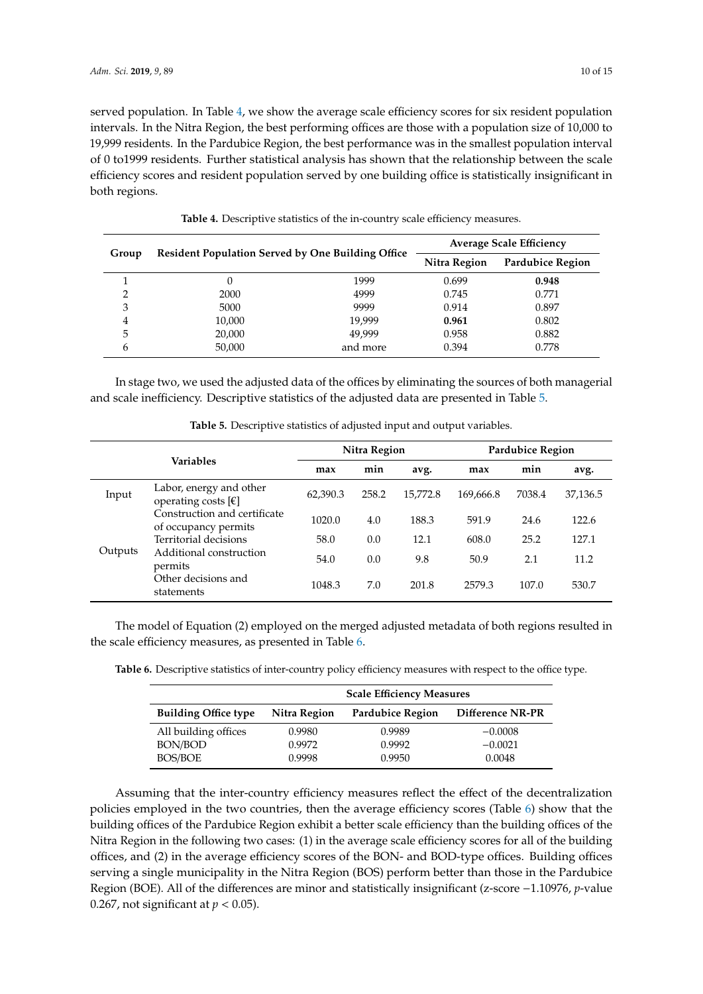served population. In Table [4,](#page-9-0) we show the average scale efficiency scores for six resident population intervals. In the Nitra Region, the best performing offices are those with a population size of 10,000 to 19,999 residents. In the Pardubice Region, the best performance was in the smallest population interval of 0 to1999 residents. Further statistical analysis has shown that the relationship between the scale efficiency scores and resident population served by one building office is statistically insignificant in both regions.

<span id="page-9-0"></span>

| Group |                                                          | <b>Average Scale Efficiency</b> |                         |       |
|-------|----------------------------------------------------------|---------------------------------|-------------------------|-------|
|       | <b>Resident Population Served by One Building Office</b> | Nitra Region                    | <b>Pardubice Region</b> |       |
|       |                                                          | 1999                            | 0.699                   | 0.948 |
| ∍     | 2000                                                     | 4999                            | 0.745                   | 0.771 |
| 3     | 5000                                                     | 9999                            | 0.914                   | 0.897 |
| 4     | 10,000                                                   | 19.999                          | 0.961                   | 0.802 |
| 5     | 20,000                                                   | 49.999                          | 0.958                   | 0.882 |
| 6     | 50.000                                                   | and more                        | 0.394                   | 0.778 |

**Table 4.** Descriptive statistics of the in-country scale efficiency measures.

In stage two, we used the adjusted data of the offices by eliminating the sources of both managerial and scale inefficiency. Descriptive statistics of the adjusted data are presented in Table [5.](#page-9-1)

<span id="page-9-1"></span>

| <b>Variables</b> |                                                             | Nitra Region |       | <b>Pardubice Region</b> |           |        |          |
|------------------|-------------------------------------------------------------|--------------|-------|-------------------------|-----------|--------|----------|
|                  |                                                             | max          | min   | avg.                    | max       | min    | avg.     |
| Input            | Labor, energy and other<br>operating costs $[\mathfrak{C}]$ | 62.390.3     | 258.2 | 15.772.8                | 169,666.8 | 7038.4 | 37,136.5 |
| Outputs          | Construction and certificate<br>of occupancy permits        | 1020.0       | 4.0   | 188.3                   | 591.9     | 24.6   | 122.6    |
|                  | Territorial decisions                                       | 58.0         | 0.0   | 12.1                    | 608.0     | 25.2   | 127.1    |
|                  | Additional construction<br>permits                          | 54.0         | 0.0   | 9.8                     | 50.9      | 2.1    | 11.2     |
|                  | Other decisions and<br>statements                           | 1048.3       | 7.0   | 201.8                   | 2579.3    | 107.0  | 530.7    |

**Table 5.** Descriptive statistics of adjusted input and output variables.

The model of Equation (2) employed on the merged adjusted metadata of both regions resulted in the scale efficiency measures, as presented in Table [6.](#page-9-2)

<span id="page-9-2"></span>**Table 6.** Descriptive statistics of inter-country policy efficiency measures with respect to the office type.

|                             | <b>Scale Efficiency Measures</b> |                  |                  |  |
|-----------------------------|----------------------------------|------------------|------------------|--|
| <b>Building Office type</b> | Nitra Region                     | Pardubice Region | Difference NR-PR |  |
| All building offices        | 0.9980                           | 0.9989           | $-0.0008$        |  |
| <b>BON/BOD</b>              | 0.9972                           | 0.9992           | $-0.0021$        |  |
| <b>BOS/BOE</b>              | 0.9998                           | 0.9950           | 0.0048           |  |

Assuming that the inter-country efficiency measures reflect the effect of the decentralization policies employed in the two countries, then the average efficiency scores (Table [6\)](#page-9-2) show that the building offices of the Pardubice Region exhibit a better scale efficiency than the building offices of the Nitra Region in the following two cases: (1) in the average scale efficiency scores for all of the building offices, and (2) in the average efficiency scores of the BON- and BOD-type offices. Building offices serving a single municipality in the Nitra Region (BOS) perform better than those in the Pardubice Region (BOE). All of the differences are minor and statistically insignificant (z-score −1.10976, *p*-value 0.267, not significant at  $p < 0.05$ ).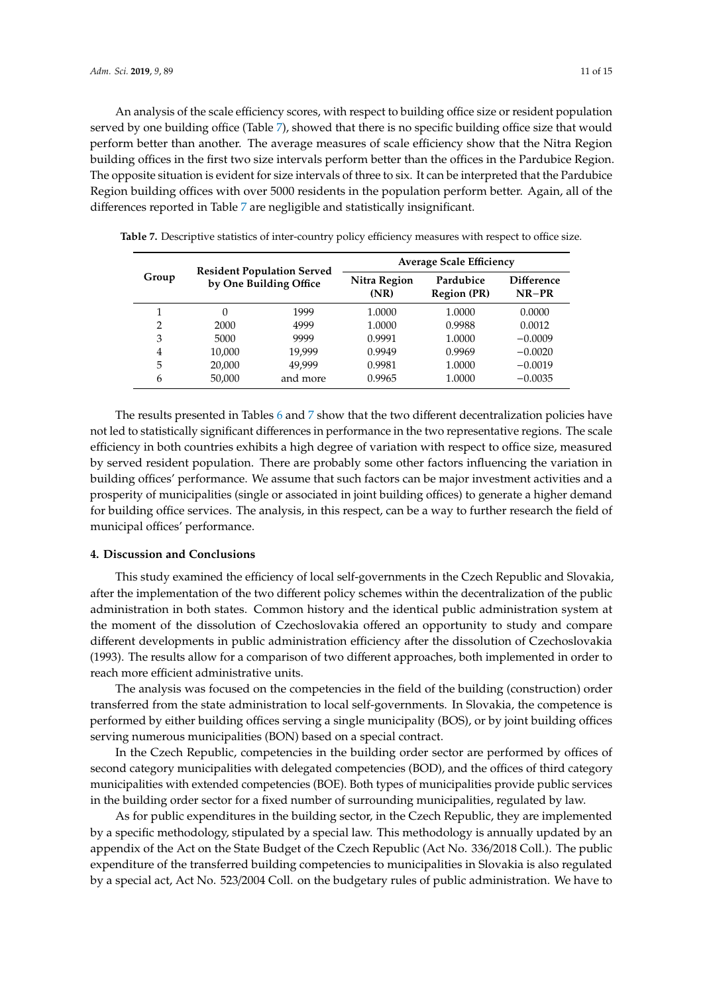An analysis of the scale efficiency scores, with respect to building office size or resident population served by one building office (Table [7\)](#page-10-0), showed that there is no specific building office size that would perform better than another. The average measures of scale efficiency show that the Nitra Region building offices in the first two size intervals perform better than the offices in the Pardubice Region. The opposite situation is evident for size intervals of three to six. It can be interpreted that the Pardubice Region building offices with over 5000 residents in the population perform better. Again, all of the differences reported in Table [7](#page-10-0) are negligible and statistically insignificant.

|                | <b>Resident Population Served</b><br>by One Building Office |          | <b>Average Scale Efficiency</b> |                                 |                              |  |
|----------------|-------------------------------------------------------------|----------|---------------------------------|---------------------------------|------------------------------|--|
| Group          |                                                             |          | <b>Nitra Region</b><br>(NR)     | Pardubice<br><b>Region (PR)</b> | <b>Difference</b><br>$NR-PR$ |  |
|                | 0                                                           | 1999     | 1.0000                          | 1.0000                          | 0.0000                       |  |
| 2              | 2000                                                        | 4999     | 1.0000                          | 0.9988                          | 0.0012                       |  |
| 3              | 5000                                                        | 9999     | 0.9991                          | 1.0000                          | $-0.0009$                    |  |
| $\overline{4}$ | 10,000                                                      | 19.999   | 0.9949                          | 0.9969                          | $-0.0020$                    |  |
| 5              | 20,000                                                      | 49.999   | 0.9981                          | 1.0000                          | $-0.0019$                    |  |
| 6              | 50,000                                                      | and more | 0.9965                          | 1.0000                          | $-0.0035$                    |  |

<span id="page-10-0"></span>**Table 7.** Descriptive statistics of inter-country policy efficiency measures with respect to office size.

The results presented in Tables [6](#page-9-2) and [7](#page-10-0) show that the two different decentralization policies have not led to statistically significant differences in performance in the two representative regions. The scale efficiency in both countries exhibits a high degree of variation with respect to office size, measured by served resident population. There are probably some other factors influencing the variation in building offices' performance. We assume that such factors can be major investment activities and a prosperity of municipalities (single or associated in joint building offices) to generate a higher demand for building office services. The analysis, in this respect, can be a way to further research the field of municipal offices' performance.

#### **4. Discussion and Conclusions**

This study examined the efficiency of local self-governments in the Czech Republic and Slovakia, after the implementation of the two different policy schemes within the decentralization of the public administration in both states. Common history and the identical public administration system at the moment of the dissolution of Czechoslovakia offered an opportunity to study and compare different developments in public administration efficiency after the dissolution of Czechoslovakia (1993). The results allow for a comparison of two different approaches, both implemented in order to reach more efficient administrative units.

The analysis was focused on the competencies in the field of the building (construction) order transferred from the state administration to local self-governments. In Slovakia, the competence is performed by either building offices serving a single municipality (BOS), or by joint building offices serving numerous municipalities (BON) based on a special contract.

In the Czech Republic, competencies in the building order sector are performed by offices of second category municipalities with delegated competencies (BOD), and the offices of third category municipalities with extended competencies (BOE). Both types of municipalities provide public services in the building order sector for a fixed number of surrounding municipalities, regulated by law.

As for public expenditures in the building sector, in the Czech Republic, they are implemented by a specific methodology, stipulated by a special law. This methodology is annually updated by an appendix of the Act on the State Budget of the Czech Republic (Act No. 336/2018 Coll.). The public expenditure of the transferred building competencies to municipalities in Slovakia is also regulated by a special act, Act No. 523/2004 Coll. on the budgetary rules of public administration. We have to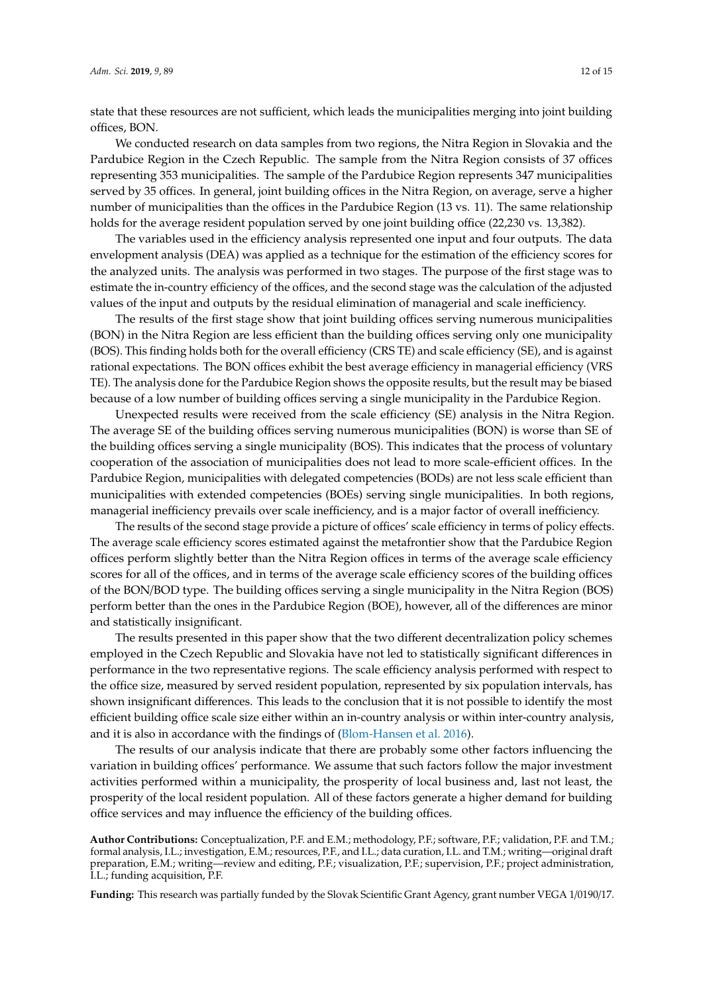state that these resources are not sufficient, which leads the municipalities merging into joint building offices, BON.

We conducted research on data samples from two regions, the Nitra Region in Slovakia and the Pardubice Region in the Czech Republic. The sample from the Nitra Region consists of 37 offices representing 353 municipalities. The sample of the Pardubice Region represents 347 municipalities served by 35 offices. In general, joint building offices in the Nitra Region, on average, serve a higher number of municipalities than the offices in the Pardubice Region (13 vs. 11). The same relationship holds for the average resident population served by one joint building office (22,230 vs. 13,382).

The variables used in the efficiency analysis represented one input and four outputs. The data envelopment analysis (DEA) was applied as a technique for the estimation of the efficiency scores for the analyzed units. The analysis was performed in two stages. The purpose of the first stage was to estimate the in-country efficiency of the offices, and the second stage was the calculation of the adjusted values of the input and outputs by the residual elimination of managerial and scale inefficiency.

The results of the first stage show that joint building offices serving numerous municipalities (BON) in the Nitra Region are less efficient than the building offices serving only one municipality (BOS). This finding holds both for the overall efficiency (CRS TE) and scale efficiency (SE), and is against rational expectations. The BON offices exhibit the best average efficiency in managerial efficiency (VRS TE). The analysis done for the Pardubice Region shows the opposite results, but the result may be biased because of a low number of building offices serving a single municipality in the Pardubice Region.

Unexpected results were received from the scale efficiency (SE) analysis in the Nitra Region. The average SE of the building offices serving numerous municipalities (BON) is worse than SE of the building offices serving a single municipality (BOS). This indicates that the process of voluntary cooperation of the association of municipalities does not lead to more scale-efficient offices. In the Pardubice Region, municipalities with delegated competencies (BODs) are not less scale efficient than municipalities with extended competencies (BOEs) serving single municipalities. In both regions, managerial inefficiency prevails over scale inefficiency, and is a major factor of overall inefficiency.

The results of the second stage provide a picture of offices' scale efficiency in terms of policy effects. The average scale efficiency scores estimated against the metafrontier show that the Pardubice Region offices perform slightly better than the Nitra Region offices in terms of the average scale efficiency scores for all of the offices, and in terms of the average scale efficiency scores of the building offices of the BON/BOD type. The building offices serving a single municipality in the Nitra Region (BOS) perform better than the ones in the Pardubice Region (BOE), however, all of the differences are minor and statistically insignificant.

The results presented in this paper show that the two different decentralization policy schemes employed in the Czech Republic and Slovakia have not led to statistically significant differences in performance in the two representative regions. The scale efficiency analysis performed with respect to the office size, measured by served resident population, represented by six population intervals, has shown insignificant differences. This leads to the conclusion that it is not possible to identify the most efficient building office scale size either within an in-country analysis or within inter-country analysis, and it is also in accordance with the findings of [\(Blom-Hansen et al.](#page-12-18) [2016\)](#page-12-18).

The results of our analysis indicate that there are probably some other factors influencing the variation in building offices' performance. We assume that such factors follow the major investment activities performed within a municipality, the prosperity of local business and, last not least, the prosperity of the local resident population. All of these factors generate a higher demand for building office services and may influence the efficiency of the building offices.

**Funding:** This research was partially funded by the Slovak Scientific Grant Agency, grant number VEGA 1/0190/17.

**Author Contributions:** Conceptualization, P.F. and E.M.; methodology, P.F.; software, P.F.; validation, P.F. and T.M.; formal analysis, I.L.; investigation, E.M.; resources, P.F., and I.L.; data curation, I.L. and T.M.; writing—original draft preparation, E.M.; writing—review and editing, P.F.; visualization, P.F.; supervision, P.F.; project administration, I.L.; funding acquisition, P.F.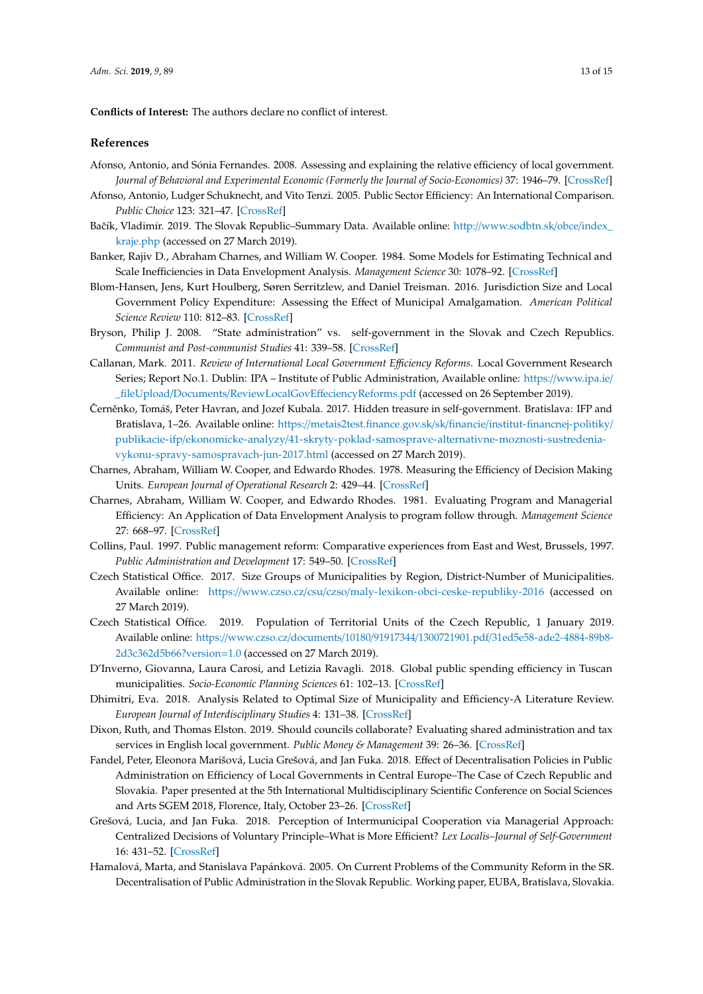**Conflicts of Interest:** The authors declare no conflict of interest.

#### **References**

- <span id="page-12-7"></span>Afonso, Antonio, and Sónia Fernandes. 2008. Assessing and explaining the relative efficiency of local government. *Journal of Behavioral and Experimental Economic (Formerly the Journal of Socio-Economics)* 37: 1946–79. [\[CrossRef\]](http://dx.doi.org/10.1016/j.socec.2007.03.007)
- <span id="page-12-9"></span>Afonso, Antonio, Ludger Schuknecht, and Vito Tenzi. 2005. Public Sector Efficiency: An International Comparison. *Public Choice* 123: 321–47. [\[CrossRef\]](http://dx.doi.org/10.1007/s11127-005-7165-2)
- <span id="page-12-1"></span>Bačík, Vladimír. 2019. The Slovak Republic–Summary Data. Available online: http://[www.sodbtn.sk](http://www.sodbtn.sk/obce/index_kraje.php)/obce/index\_ [kraje.php](http://www.sodbtn.sk/obce/index_kraje.php) (accessed on 27 March 2019).
- <span id="page-12-17"></span>Banker, Rajiv D., Abraham Charnes, and William W. Cooper. 1984. Some Models for Estimating Technical and Scale Inefficiencies in Data Envelopment Analysis. *Management Science* 30: 1078–92. [\[CrossRef\]](http://dx.doi.org/10.1287/mnsc.30.9.1078)
- <span id="page-12-18"></span>Blom-Hansen, Jens, Kurt Houlberg, Søren Serritzlew, and Daniel Treisman. 2016. Jurisdiction Size and Local Government Policy Expenditure: Assessing the Effect of Municipal Amalgamation. *American Political Science Review* 110: 812–83. [\[CrossRef\]](http://dx.doi.org/10.1017/S0003055416000320)
- <span id="page-12-6"></span>Bryson, Philip J. 2008. "State administration" vs. self-government in the Slovak and Czech Republics. *Communist and Post-communist Studies* 41: 339–58. [\[CrossRef\]](http://dx.doi.org/10.1016/j.postcomstud.2008.06.003)
- <span id="page-12-13"></span>Callanan, Mark. 2011. *Review of International Local Government E*ffi*ciency Reforms*. Local Government Research Series; Report No.1. Dublin: IPA – Institute of Public Administration, Available online: https://[www.ipa.ie](https://www.ipa.ie/_fileUpload/Documents/ReviewLocalGovEffeciencyReforms.pdf)/ \_fileUpload/Documents/ReviewLocalGovEff[eciencyReforms.pdf](https://www.ipa.ie/_fileUpload/Documents/ReviewLocalGovEffeciencyReforms.pdf) (accessed on 26 September 2019).
- <span id="page-12-3"></span>Černěnko, Tomáš, Peter Havran, and Jozef Kubala. 2017. Hidden treasure in self-government. Bratislava: IFP and Bratislava, 1–26. Available online: https://[metais2test.finance.gov.sk](https://metais2test.finance.gov.sk/sk/financie/institut-financnej-politiky/publikacie-ifp/ekonomicke-analyzy/41-skryty-poklad-samosprave-alternativne-moznosti-sustredenia-vykonu-spravy-samospravach-jun-2017.html)/sk/financie/institut-financnej-politiky/ publikacie-ifp/ekonomicke-analyzy/[41-skryty-poklad-samosprave-alternativne-moznosti-sustredenia](https://metais2test.finance.gov.sk/sk/financie/institut-financnej-politiky/publikacie-ifp/ekonomicke-analyzy/41-skryty-poklad-samosprave-alternativne-moznosti-sustredenia-vykonu-spravy-samospravach-jun-2017.html)[vykonu-spravy-samospravach-jun-2017.html](https://metais2test.finance.gov.sk/sk/financie/institut-financnej-politiky/publikacie-ifp/ekonomicke-analyzy/41-skryty-poklad-samosprave-alternativne-moznosti-sustredenia-vykonu-spravy-samospravach-jun-2017.html) (accessed on 27 March 2019).
- <span id="page-12-16"></span>Charnes, Abraham, William W. Cooper, and Edwardo Rhodes. 1978. Measuring the Efficiency of Decision Making Units. *European Journal of Operational Research* 2: 429–44. [\[CrossRef\]](http://dx.doi.org/10.1016/0377-2217(78)90138-8)
- <span id="page-12-15"></span>Charnes, Abraham, William W. Cooper, and Edwardo Rhodes. 1981. Evaluating Program and Managerial Efficiency: An Application of Data Envelopment Analysis to program follow through. *Management Science* 27: 668–97. [\[CrossRef\]](http://dx.doi.org/10.1287/mnsc.27.6.668)
- <span id="page-12-0"></span>Collins, Paul. 1997. Public management reform: Comparative experiences from East and West, Brussels, 1997. *Public Administration and Development* 17: 549–50. [\[CrossRef\]](http://dx.doi.org/10.1002/(SICI)1099-162X(199712)17:5<549::AID-PAD961>3.0.CO;2-Z)
- <span id="page-12-4"></span>Czech Statistical Office. 2017. Size Groups of Municipalities by Region, District-Number of Municipalities. Available online: https://www.czso.cz/csu/czso/[maly-lexikon-obci-ceske-republiky-2016](https://www.czso.cz/csu/czso/maly-lexikon-obci-ceske-republiky-2016) (accessed on 27 March 2019).
- <span id="page-12-5"></span>Czech Statistical Office. 2019. Population of Territorial Units of the Czech Republic, 1 January 2019. Available online: https://www.czso.cz/documents/10180/91917344/1300721901.pdf/[31ed5e58-ade2-4884-89b8-](https://www.czso.cz/documents/10180/91917344/1300721901.pdf/31ed5e58-ade2-4884-89b8-2d3c362d5b66?version=1.0) [2d3c362d5b66?version](https://www.czso.cz/documents/10180/91917344/1300721901.pdf/31ed5e58-ade2-4884-89b8-2d3c362d5b66?version=1.0)=1.0 (accessed on 27 March 2019).
- <span id="page-12-8"></span>D'Inverno, Giovanna, Laura Carosi, and Letizia Ravagli. 2018. Global public spending efficiency in Tuscan municipalities. *Socio-Economic Planning Sciences* 61: 102–13. [\[CrossRef\]](http://dx.doi.org/10.1016/j.seps.2017.01.006)
- <span id="page-12-12"></span>Dhimitri, Eva. 2018. Analysis Related to Optimal Size of Municipality and Efficiency-A Literature Review. *European Journal of Interdisciplinary Studies* 4: 131–38. [\[CrossRef\]](http://dx.doi.org/10.26417/ejis.v10i1.p131-138)
- <span id="page-12-11"></span>Dixon, Ruth, and Thomas Elston. 2019. Should councils collaborate? Evaluating shared administration and tax services in English local government. *Public Money & Management* 39: 26–36. [\[CrossRef\]](http://dx.doi.org/10.1080/09540962.2019.1537704)
- <span id="page-12-14"></span>Fandel, Peter, Eleonora Marišová, Lucia Grešová, and Jan Fuka. 2018. Effect of Decentralisation Policies in Public Administration on Efficiency of Local Governments in Central Europe–The Case of Czech Republic and Slovakia. Paper presented at the 5th International Multidisciplinary Scientific Conference on Social Sciences and Arts SGEM 2018, Florence, Italy, October 23–26. [\[CrossRef\]](http://dx.doi.org/10.5593/sgemsocialF2018/1.6)
- <span id="page-12-10"></span>Grešová, Lucia, and Jan Fuka. 2018. Perception of Intermunicipal Cooperation via Managerial Approach: Centralized Decisions of Voluntary Principle–What is More Efficient? *Lex Localis–Journal of Self-Government* 16: 431–52. [\[CrossRef\]](http://dx.doi.org/10.4335/16.3.431-452(2018))
- <span id="page-12-2"></span>Hamalová, Marta, and Stanislava Papánková. 2005. On Current Problems of the Community Reform in the SR. Decentralisation of Public Administration in the Slovak Republic. Working paper, EUBA, Bratislava, Slovakia.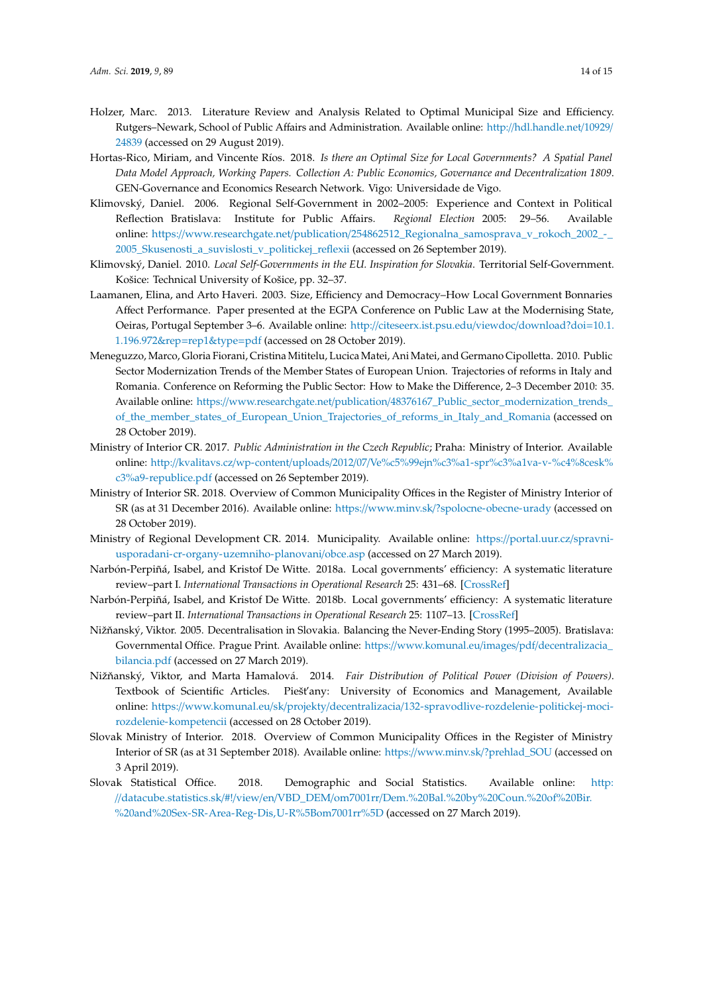- <span id="page-13-13"></span>Holzer, Marc. 2013. Literature Review and Analysis Related to Optimal Municipal Size and Efficiency. Rutgers–Newark, School of Public Affairs and Administration. Available online: http://[hdl.handle.net](http://hdl.handle.net/10929/24839)/10929/ [24839](http://hdl.handle.net/10929/24839) (accessed on 29 August 2019).
- <span id="page-13-14"></span>Hortas-Rico, Miriam, and Vincente Ríos. 2018. *Is there an Optimal Size for Local Governments? A Spatial Panel Data Model Approach, Working Papers. Collection A: Public Economics, Governance and Decentralization 1809*. GEN-Governance and Economics Research Network. Vigo: Universidade de Vigo.
- <span id="page-13-4"></span>Klimovský, Daniel. 2006. Regional Self-Government in 2002–2005: Experience and Context in Political Reflection Bratislava: Institute for Public Affairs. *Regional Election* 2005: 29–56. Available online: https://www.researchgate.net/publication/[254862512\\_Regionalna\\_samosprava\\_v\\_rokoch\\_2002\\_-\\_](https://www.researchgate.net/publication/254862512_Regionalna_samosprava_v_rokoch_2002_-_2005_Skusenosti_a_suvislosti_v_politickej_reflexii) [2005\\_Skusenosti\\_a\\_suvislosti\\_v\\_politickej\\_reflexii](https://www.researchgate.net/publication/254862512_Regionalna_samosprava_v_rokoch_2002_-_2005_Skusenosti_a_suvislosti_v_politickej_reflexii) (accessed on 26 September 2019).
- <span id="page-13-7"></span>Klimovský, Daniel. 2010. *Local Self-Governments in the EU. Inspiration for Slovakia*. Territorial Self-Government. Košice: Technical University of Košice, pp. 32–37.
- <span id="page-13-0"></span>Laamanen, Elina, and Arto Haveri. 2003. Size, Efficiency and Democracy–How Local Government Bonnaries Affect Performance. Paper presented at the EGPA Conference on Public Law at the Modernising State, Oeiras, Portugal September 3–6. Available online: http://[citeseerx.ist.psu.edu](http://citeseerx.ist.psu.edu/viewdoc/download?doi=10.1.1.196.972&rep=rep1&type=pdf)/viewdoc/download?doi=10.1. [1.196.972&rep](http://citeseerx.ist.psu.edu/viewdoc/download?doi=10.1.1.196.972&rep=rep1&type=pdf)=rep1&type=pdf (accessed on 28 October 2019).
- <span id="page-13-2"></span>Meneguzzo, Marco, Gloria Fiorani, Cristina Mititelu, Lucica Matei, Ani Matei, and Germano Cipolletta. 2010. Public Sector Modernization Trends of the Member States of European Union. Trajectories of reforms in Italy and Romania. Conference on Reforming the Public Sector: How to Make the Difference, 2–3 December 2010: 35. Available online: https://www.researchgate.net/publication/[48376167\\_Public\\_sector\\_modernization\\_trends\\_](https://www.researchgate.net/publication/48376167_Public_sector_modernization_trends_of_the_member_states_of_European_Union_Trajectories_of_reforms_in_Italy_and_Romania) [of\\_the\\_member\\_states\\_of\\_European\\_Union\\_Trajectories\\_of\\_reforms\\_in\\_Italy\\_and\\_Romania](https://www.researchgate.net/publication/48376167_Public_sector_modernization_trends_of_the_member_states_of_European_Union_Trajectories_of_reforms_in_Italy_and_Romania) (accessed on 28 October 2019).
- <span id="page-13-5"></span>Ministry of Interior CR. 2017. *Public Administration in the Czech Republic*; Praha: Ministry of Interior. Available online: http://kvalitavs.cz/wp-content/uploads/2012/07/[Ve%c5%99ejn%c3%a1-spr%c3%a1va-v-%c4%8cesk%](http://kvalitavs.cz/wp-content/uploads/2012/07/Ve%c5%99ejn%c3%a1-spr%c3%a1va-v-%c4%8cesk%c3%a9-republice.pdf) [c3%a9-republice.pdf](http://kvalitavs.cz/wp-content/uploads/2012/07/Ve%c5%99ejn%c3%a1-spr%c3%a1va-v-%c4%8cesk%c3%a9-republice.pdf) (accessed on 26 September 2019).
- <span id="page-13-3"></span>Ministry of Interior SR. 2018. Overview of Common Municipality Offices in the Register of Ministry Interior of SR (as at 31 December 2016). Available online: https://www.minv.sk/[?spolocne-obecne-urady](https://www.minv.sk/?spolocne-obecne-urady) (accessed on 28 October 2019).
- <span id="page-13-10"></span>Ministry of Regional Development CR. 2014. Municipality. Available online: https://[portal.uur.cz](https://portal.uur.cz/spravni-usporadani-cr-organy-uzemniho-planovani/obce.asp)/spravni[usporadani-cr-organy-uzemniho-planovani](https://portal.uur.cz/spravni-usporadani-cr-organy-uzemniho-planovani/obce.asp)/obce.asp (accessed on 27 March 2019).
- <span id="page-13-11"></span>Narbón-Perpiñá, Isabel, and Kristof De Witte. 2018a. Local governments' efficiency: A systematic literature review–part I. *International Transactions in Operational Research* 25: 431–68. [\[CrossRef\]](http://dx.doi.org/10.1111/itor.12364)
- <span id="page-13-12"></span>Narbón-Perpiñá, Isabel, and Kristof De Witte. 2018b. Local governments' efficiency: A systematic literature review–part II. *International Transactions in Operational Research* 25: 1107–13. [\[CrossRef\]](http://dx.doi.org/10.1111/itor.12389)
- <span id="page-13-6"></span>Nižňanský, Viktor. 2005. Decentralisation in Slovakia. Balancing the Never-Ending Story (1995–2005). Bratislava: Governmental Office. Prague Print. Available online: https://[www.komunal.eu](https://www.komunal.eu/images/pdf/decentralizacia_bilancia.pdf)/images/pdf/decentralizacia\_ [bilancia.pdf](https://www.komunal.eu/images/pdf/decentralizacia_bilancia.pdf) (accessed on 27 March 2019).
- <span id="page-13-1"></span>Nižňanský, Viktor, and Marta Hamalová. 2014. *Fair Distribution of Political Power (Division of Powers)*. Textbook of Scientific Articles. Piešt'any: University of Economics and Management, Available online: https://www.komunal.eu/sk/projekty/decentralizacia/[132-spravodlive-rozdelenie-politickej-moci](https://www.komunal.eu/sk/projekty/decentralizacia/132-spravodlive-rozdelenie-politickej-moci-rozdelenie-kompetencii)[rozdelenie-kompetencii](https://www.komunal.eu/sk/projekty/decentralizacia/132-spravodlive-rozdelenie-politickej-moci-rozdelenie-kompetencii) (accessed on 28 October 2019).
- <span id="page-13-8"></span>Slovak Ministry of Interior. 2018. Overview of Common Municipality Offices in the Register of Ministry Interior of SR (as at 31 September 2018). Available online: https://www.minv.sk/[?prehlad\\_SOU](https://www.minv.sk/?prehlad_SOU) (accessed on 3 April 2019).
- <span id="page-13-9"></span>Slovak Statistical Office. 2018. Demographic and Social Statistics. Available online: [http:](http://datacube.statistics.sk/#!/view/en/VBD_DEM/om7001rr/Dem.%20Bal.%20by%20Coun.%20of%20Bir.%20and%20Sex-SR-Area-Reg-Dis,U-R%5Bom7001rr%5D) //datacube.statistics.sk/#!/view/en/VBD\_DEM/om7001rr/[Dem.%20Bal.%20by%20Coun.%20of%20Bir.](http://datacube.statistics.sk/#!/view/en/VBD_DEM/om7001rr/Dem.%20Bal.%20by%20Coun.%20of%20Bir.%20and%20Sex-SR-Area-Reg-Dis,U-R%5Bom7001rr%5D) [%20and%20Sex-SR-Area-Reg-Dis,U-R%5Bom7001rr%5D](http://datacube.statistics.sk/#!/view/en/VBD_DEM/om7001rr/Dem.%20Bal.%20by%20Coun.%20of%20Bir.%20and%20Sex-SR-Area-Reg-Dis,U-R%5Bom7001rr%5D) (accessed on 27 March 2019).